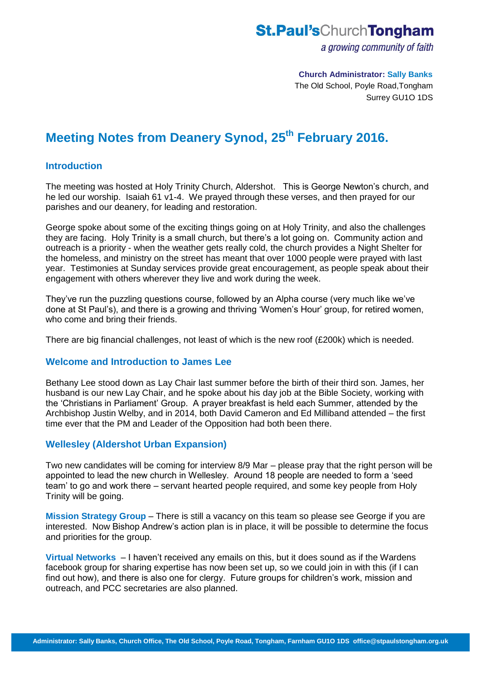# **St.Paul'sChurchTongham**

a growing community of faith

 **Church Administrator: Sally Banks** The Old School, Poyle Road,Tongham Surrey GU1O 1DS

# **Meeting Notes from Deanery Synod, 25 th February 2016.**

## **Introduction**

The meeting was hosted at Holy Trinity Church, Aldershot. This is George Newton's church, and he led our worship. Isaiah 61 v1-4. We prayed through these verses, and then prayed for our parishes and our deanery, for leading and restoration.

George spoke about some of the exciting things going on at Holy Trinity, and also the challenges they are facing. Holy Trinity is a small church, but there's a lot going on. Community action and outreach is a priority - when the weather gets really cold, the church provides a Night Shelter for the homeless, and ministry on the street has meant that over 1000 people were prayed with last year. Testimonies at Sunday services provide great encouragement, as people speak about their engagement with others wherever they live and work during the week.

They've run the puzzling questions course, followed by an Alpha course (very much like we've done at St Paul's), and there is a growing and thriving 'Women's Hour' group, for retired women, who come and bring their friends.

There are big financial challenges, not least of which is the new roof (£200k) which is needed.

#### **Welcome and Introduction to James Lee**

Bethany Lee stood down as Lay Chair last summer before the birth of their third son. James, her husband is our new Lay Chair, and he spoke about his day job at the Bible Society, working with the 'Christians in Parliament' Group. A prayer breakfast is held each Summer, attended by the Archbishop Justin Welby, and in 2014, both David Cameron and Ed Milliband attended – the first time ever that the PM and Leader of the Opposition had both been there.

#### **Wellesley (Aldershot Urban Expansion)**

Two new candidates will be coming for interview 8/9 Mar – please pray that the right person will be appointed to lead the new church in Wellesley. Around 18 people are needed to form a 'seed team' to go and work there – servant hearted people required, and some key people from Holy Trinity will be going.

**Mission Strategy Group** – There is still a vacancy on this team so please see George if you are interested. Now Bishop Andrew's action plan is in place, it will be possible to determine the focus and priorities for the group.

**Virtual Networks** – I haven't received any emails on this, but it does sound as if the Wardens facebook group for sharing expertise has now been set up, so we could join in with this (if I can find out how), and there is also one for clergy. Future groups for children's work, mission and outreach, and PCC secretaries are also planned.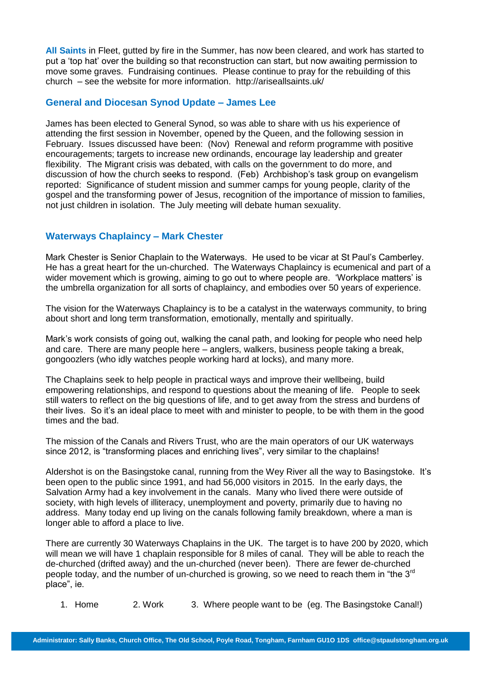**All Saints** in Fleet, gutted by fire in the Summer, has now been cleared, and work has started to put a 'top hat' over the building so that reconstruction can start, but now awaiting permission to move some graves. Fundraising continues. Please continue to pray for the rebuilding of this church – see the website for more information. http://ariseallsaints.uk/

### **General and Diocesan Synod Update – James Lee**

James has been elected to General Synod, so was able to share with us his experience of attending the first session in November, opened by the Queen, and the following session in February. Issues discussed have been: (Nov) Renewal and reform programme with positive encouragements; targets to increase new ordinands, encourage lay leadership and greater flexibility. The Migrant crisis was debated, with calls on the government to do more, and discussion of how the church seeks to respond. (Feb) Archbishop's task group on evangelism reported: Significance of student mission and summer camps for young people, clarity of the gospel and the transforming power of Jesus, recognition of the importance of mission to families, not just children in isolation. The July meeting will debate human sexuality.

# **Waterways Chaplaincy – Mark Chester**

Mark Chester is Senior Chaplain to the Waterways. He used to be vicar at St Paul's Camberley. He has a great heart for the un-churched. The Waterways Chaplaincy is ecumenical and part of a wider movement which is growing, aiming to go out to where people are. 'Workplace matters' is the umbrella organization for all sorts of chaplaincy, and embodies over 50 years of experience.

The vision for the Waterways Chaplaincy is to be a catalyst in the waterways community, to bring about short and long term transformation, emotionally, mentally and spiritually.

Mark's work consists of going out, walking the canal path, and looking for people who need help and care. There are many people here – anglers, walkers, business people taking a break, gongoozlers (who idly watches people working hard at locks), and many more.

The Chaplains seek to help people in practical ways and improve their wellbeing, build empowering relationships, and respond to questions about the meaning of life. People to seek still waters to reflect on the big questions of life, and to get away from the stress and burdens of their lives. So it's an ideal place to meet with and minister to people, to be with them in the good times and the bad.

The mission of the Canals and Rivers Trust, who are the main operators of our UK waterways since 2012, is "transforming places and enriching lives", very similar to the chaplains!

Aldershot is on the Basingstoke canal, running from the Wey River all the way to Basingstoke. It's been open to the public since 1991, and had 56,000 visitors in 2015. In the early days, the Salvation Army had a key involvement in the canals. Many who lived there were outside of society, with high levels of illiteracy, unemployment and poverty, primarily due to having no address. Many today end up living on the canals following family breakdown, where a man is longer able to afford a place to live.

There are currently 30 Waterways Chaplains in the UK. The target is to have 200 by 2020, which will mean we will have 1 chaplain responsible for 8 miles of canal. They will be able to reach the de-churched (drifted away) and the un-churched (never been). There are fewer de-churched people today, and the number of un-churched is growing, so we need to reach them in "the 3<sup>rd</sup> place", ie.

1. Home 2. Work 3. Where people want to be (eg. The Basingstoke Canal!)